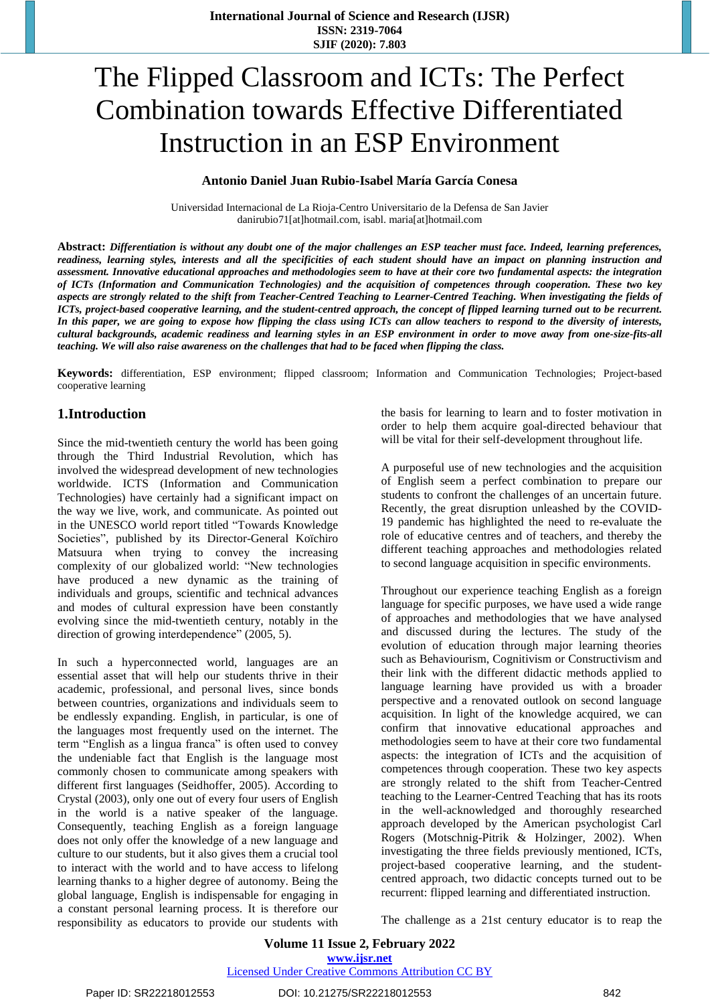# The Flipped Classroom and ICTs: The Perfect Combination towards Effective Differentiated Instruction in an ESP Environment

### **Antonio Daniel Juan Rubio-Isabel María García Conesa**

Universidad Internacional de La Rioja-Centro Universitario de la Defensa de San Javier danirubio71[at]hotmail.com, isabl. maria[at]hotmail.com

Abstract: Differentiation is without any doubt one of the major challenges an ESP teacher must face. Indeed, learning preferences, readiness, learning styles, interests and all the specificities of each student should have an impact on planning instruction and assessment. Innovative educational approaches and methodologies seem to have at their core two fundamental aspects: the integration *of ICTs (Information and Communication Technologies) and the acquisition of competences through cooperation. These two key* aspects are strongly related to the shift from Teacher-Centred Teaching to Learner-Centred Teaching. When investigating the fields of ICTs, project-based cooperative learning, and the student-centred approach, the concept of flipped learning turned out to be recurrent. In this paper, we are going to expose how flipping the class using ICTs can allow teachers to respond to the diversity of interests, cultural backgrounds, academic readiness and learning styles in an ESP environment in order to move away from one-size-fits-all *teaching. We will also raise awareness on the challenges that had to be faced when flipping the class.* 

**Keywords:** differentiation, ESP environment; flipped classroom; Information and Communication Technologies; Project-based cooperative learning

# **1.Introduction**

Since the mid-twentieth century the world has been going through the Third Industrial Revolution, which has involved the widespread development of new technologies worldwide. ICTS (Information and Communication Technologies) have certainly had a significant impact on the way we live, work, and communicate. As pointed out in the UNESCO world report titled "Towards Knowledge Societies", published by its Director-General Koïchiro Matsuura when trying to convey the increasing complexity of our globalized world: "New technologies have produced a new dynamic as the training of individuals and groups, scientific and technical advances and modes of cultural expression have been constantly evolving since the mid-twentieth century, notably in the direction of growing interdependence" (2005, 5).

In such a hyperconnected world, languages are an essential asset that will help our students thrive in their academic, professional, and personal lives, since bonds between countries, organizations and individuals seem to be endlessly expanding. English, in particular, is one of the languages most frequently used on the internet. The term "English as a lingua franca" is often used to convey the undeniable fact that English is the language most commonly chosen to communicate among speakers with different first languages (Seidhoffer, 2005). According to Crystal (2003), only one out of every four users of English in the world is a native speaker of the language. Consequently, teaching English as a foreign language does not only offer the knowledge of a new language and culture to our students, but it also gives them a crucial tool to interact with the world and to have access to lifelong learning thanks to a higher degree of autonomy. Being the global language, English is indispensable for engaging in a constant personal learning process. It is therefore our responsibility as educators to provide our students with the basis for learning to learn and to foster motivation in order to help them acquire goal-directed behaviour that will be vital for their self-development throughout life.

A purposeful use of new technologies and the acquisition of English seem a perfect combination to prepare our students to confront the challenges of an uncertain future. Recently, the great disruption unleashed by the COVID-19 pandemic has highlighted the need to re-evaluate the role of educative centres and of teachers, and thereby the different teaching approaches and methodologies related to second language acquisition in specific environments.

Throughout our experience teaching English as a foreign language for specific purposes, we have used a wide range of approaches and methodologies that we have analysed and discussed during the lectures. The study of the evolution of education through major learning theories such as Behaviourism, Cognitivism or Constructivism and their link with the different didactic methods applied to language learning have provided us with a broader perspective and a renovated outlook on second language acquisition. In light of the knowledge acquired, we can confirm that innovative educational approaches and methodologies seem to have at their core two fundamental aspects: the integration of ICTs and the acquisition of competences through cooperation. These two key aspects are strongly related to the shift from Teacher-Centred teaching to the Learner-Centred Teaching that has its roots in the well-acknowledged and thoroughly researched approach developed by the American psychologist Carl Rogers (Motschnig-Pitrik & Holzinger, 2002). When investigating the three fields previously mentioned, ICTs, project-based cooperative learning, and the studentcentred approach, two didactic concepts turned out to be recurrent: flipped learning and differentiated instruction.

The challenge as a 21st century educator is to reap the

# **Volume 11 Issue 2, February 2022 www.ijsr.net**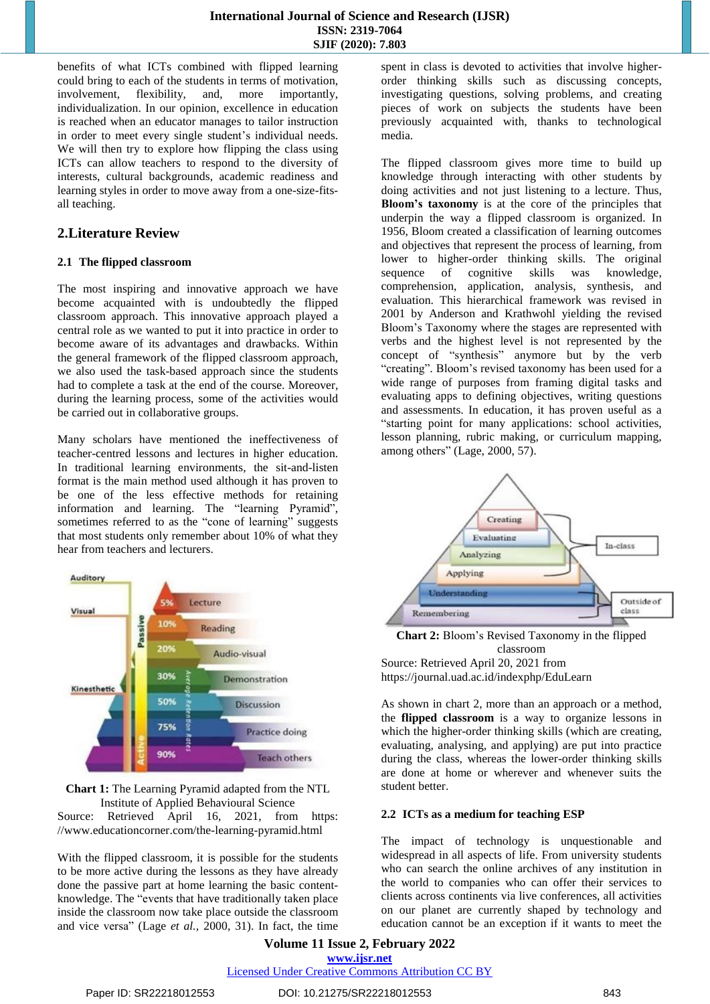benefits of what ICTs combined with flipped learning could bring to each of the students in terms of motivation, involvement, flexibility, and, more importantly, individualization. In our opinion, excellence in education is reached when an educator manages to tailor instruction in order to meet every single student's individual needs. We will then try to explore how flipping the class using ICTs can allow teachers to respond to the diversity of interests, cultural backgrounds, academic readiness and learning styles in order to move away from a one-size-fitsall teaching.

# **2.Literature Review**

## **2.1 The flipped classroom**

The most inspiring and innovative approach we have become acquainted with is undoubtedly the flipped classroom approach. This innovative approach played a central role as we wanted to put it into practice in order to become aware of its advantages and drawbacks. Within the general framework of the flipped classroom approach, we also used the task-based approach since the students had to complete a task at the end of the course. Moreover, during the learning process, some of the activities would be carried out in collaborative groups.

Many scholars have mentioned the ineffectiveness of teacher-centred lessons and lectures in higher education. In traditional learning environments, the sit-and-listen format is the main method used although it has proven to be one of the less effective methods for retaining information and learning. The "learning Pyramid", sometimes referred to as the "cone of learning" suggests that most students only remember about 10% of what they hear from teachers and lecturers.



**Chart 1:** The Learning Pyramid adapted from the NTL Institute of Applied Behavioural Science

Source: Retrieved April 16, 2021, from https: [//www.e](http://www.educationcorner.com/the-learning-pyramid.html)d[ucationcorner.com/the-learning-pyramid.html](http://www.educationcorner.com/the-learning-pyramid.html)

With the flipped classroom, it is possible for the students to be more active during the lessons as they have already done the passive part at home learning the basic contentknowledge. The "events that have traditionally taken place inside the classroom now take place outside the classroom and vice versa" (Lage *et al.,* 2000, 31). In fact, the time

spent in class is devoted to activities that involve higherorder thinking skills such as discussing concepts, investigating questions, solving problems, and creating pieces of work on subjects the students have been previously acquainted with, thanks to technological media.

The flipped classroom gives more time to build up knowledge through interacting with other students by doing activities and not just listening to a lecture. Thus, **Bloom's taxonomy** is at the core of the principles that underpin the way a flipped classroom is organized. In 1956, Bloom created a classification of learning outcomes and objectives that represent the process of learning, from lower to higher-order thinking skills. The original sequence of cognitive skills was knowledge, comprehension, application, analysis, synthesis, and evaluation. This hierarchical framework was revised in 2001 by Anderson and Krathwohl yielding the revised Bloom's Taxonomy where the stages are represented with verbs and the highest level is not represented by the concept of "synthesis" anymore but by the verb "creating". Bloom's revised taxonomy has been used for a wide range of purposes from framing digital tasks and evaluating apps to defining objectives, writing questions and assessments. In education, it has proven useful as a "starting point for many applications: school activities, lesson planning, rubric making, or curriculum mapping, among others" (Lage, 2000, 57).



**Chart 2:** Bloom's Revised Taxonomy in the flipped classroom Source: Retrieved April 20, 2021 from <https://journal.uad.ac.id/indexphp/EduLearn>

As shown in chart 2, more than an approach or a method, the **flipped classroom** is a way to organize lessons in which the higher-order thinking skills (which are creating, evaluating, analysing, and applying) are put into practice during the class, whereas the lower-order thinking skills are done at home or wherever and whenever suits the student better.

#### **2.2 ICTs as a medium for teaching ESP**

The impact of technology is unquestionable and widespread in all aspects of life. From university students who can search the online archives of any institution in the world to companies who can offer their services to clients across continents via live conferences, all activities on our planet are currently shaped by technology and education cannot be an exception if it wants to meet the

**Volume 11 Issue 2, February 2022 www.ijsr.net** Licensed Under Creative Commons Attribution CC BY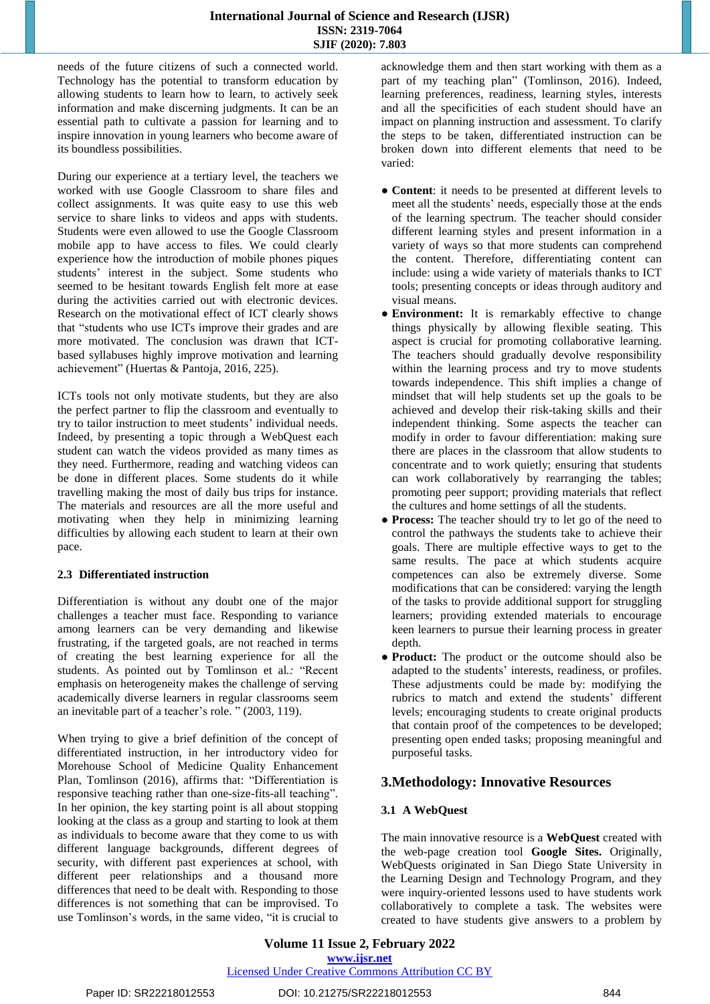needs of the future citizens of such a connected world. Technology has the potential to transform education by allowing students to learn how to learn, to actively seek information and make discerning judgments. It can be an essential path to cultivate a passion for learning and to inspire innovation in young learners who become aware of its boundless possibilities.

During our experience at a tertiary level, the teachers we worked with use Google Classroom to share files and collect assignments. It was quite easy to use this web service to share links to videos and apps with students. Students were even allowed to use the Google Classroom mobile app to have access to files. We could clearly experience how the introduction of mobile phones piques students' interest in the subject. Some students who seemed to be hesitant towards English felt more at ease during the activities carried out with electronic devices. Research on the motivational effect of ICT clearly shows that "students who use ICTs improve their grades and are more motivated. The conclusion was drawn that ICTbased syllabuses highly improve motivation and learning achievement" (Huertas & Pantoja, 2016, 225).

ICTs tools not only motivate students, but they are also the perfect partner to flip the classroom and eventually to try to tailor instruction to meet students' individual needs. Indeed, by presenting a topic through a WebQuest each student can watch the videos provided as many times as they need. Furthermore, reading and watching videos can be done in different places. Some students do it while travelling making the most of daily bus trips for instance. The materials and resources are all the more useful and motivating when they help in minimizing learning difficulties by allowing each student to learn at their own pace.

#### **2.3 Differentiated instruction**

Differentiation is without any doubt one of the major challenges a teacher must face. Responding to variance among learners can be very demanding and likewise frustrating, if the targeted goals, are not reached in terms of creating the best learning experience for all the students. As pointed out by Tomlinson et al*.:* "Recent emphasis on heterogeneity makes the challenge of serving academically diverse learners in regular classrooms seem an inevitable part of a teacher's role. " (2003, 119).

When trying to give a brief definition of the concept of differentiated instruction, in her introductory video for Morehouse School of Medicine Quality Enhancement Plan, Tomlinson (2016), affirms that: "Differentiation is responsive teaching rather than one-size-fits-all teaching". In her opinion, the key starting point is all about stopping looking at the class as a group and starting to look at them as individuals to become aware that they come to us with different language backgrounds, different degrees of security, with different past experiences at school, with different peer relationships and a thousand more differences that need to be dealt with. Responding to those differences is not something that can be improvised. To use Tomlinson's words, in the same video, "it is crucial to acknowledge them and then start working with them as a part of my teaching plan" (Tomlinson, 2016). Indeed, learning preferences, readiness, learning styles, interests and all the specificities of each student should have an impact on planning instruction and assessment. To clarify the steps to be taken, differentiated instruction can be broken down into different elements that need to be varied:

- **Content**: it needs to be presented at different levels to meet all the students' needs, especially those at the ends of the learning spectrum. The teacher should consider different learning styles and present information in a variety of ways so that more students can comprehend the content. Therefore, differentiating content can include: using a wide variety of materials thanks to ICT tools; presenting concepts or ideas through auditory and visual means.
- **Environment:** It is remarkably effective to change things physically by allowing flexible seating. This aspect is crucial for promoting collaborative learning. The teachers should gradually devolve responsibility within the learning process and try to move students towards independence. This shift implies a change of mindset that will help students set up the goals to be achieved and develop their risk-taking skills and their independent thinking. Some aspects the teacher can modify in order to favour differentiation: making sure there are places in the classroom that allow students to concentrate and to work quietly; ensuring that students can work collaboratively by rearranging the tables; promoting peer support; providing materials that reflect the cultures and home settings of all the students.
- **Process:** The teacher should try to let go of the need to control the pathways the students take to achieve their goals. There are multiple effective ways to get to the same results. The pace at which students acquire competences can also be extremely diverse. Some modifications that can be considered: varying the length of the tasks to provide additional support for struggling learners; providing extended materials to encourage keen learners to pursue their learning process in greater depth.
- **Product:** The product or the outcome should also be adapted to the students' interests, readiness, or profiles. These adjustments could be made by: modifying the rubrics to match and extend the students' different levels; encouraging students to create original products that contain proof of the competences to be developed; presenting open ended tasks; proposing meaningful and purposeful tasks.

## **3.Methodology: Innovative Resources**

## **3.1 A WebQuest**

The main innovative resource is a **WebQuest** created with the web-page creation tool **Google Sites.** Originally, WebQuests originated in San Diego State University in the Learning Design and Technology Program, and they were inquiry-oriented lessons used to have students work collaboratively to complete a task. The websites were created to have students give answers to a problem by

**Volume 11 Issue 2, February 2022 www.ijsr.net** Licensed Under Creative Commons Attribution CC BY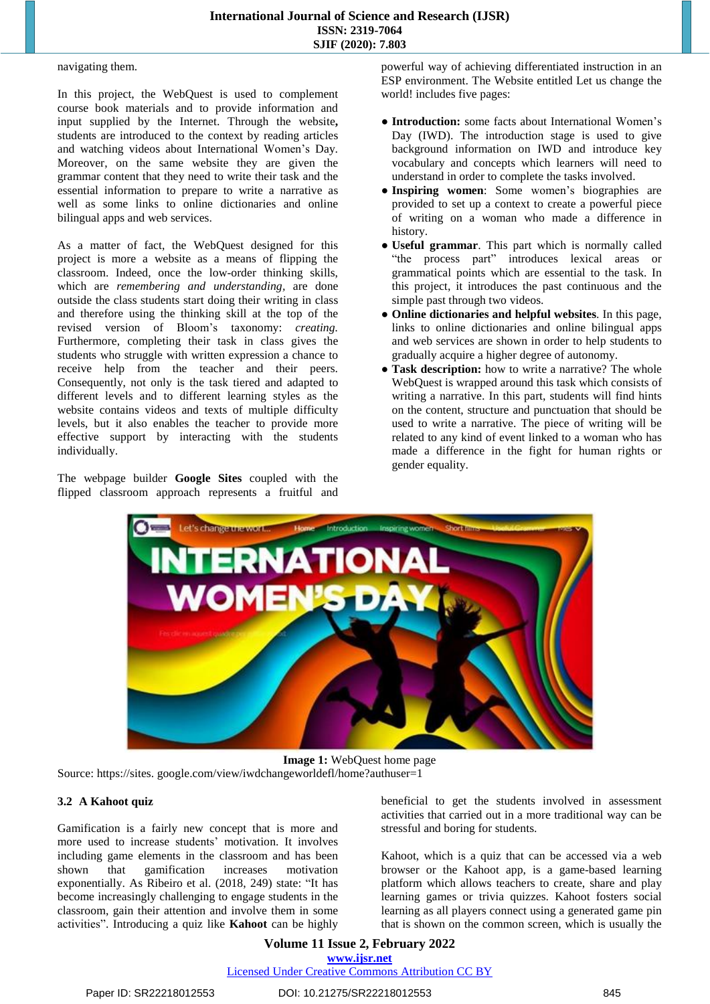#### navigating them.

In this project, the WebQuest is used to complement course book materials and to provide information and input supplied by the Internet. Through the website**,**  students are introduced to the context by reading articles and watching videos about International Women's Day. Moreover, on the same website they are given the grammar content that they need to write their task and the essential information to prepare to write a narrative as well as some links to online dictionaries and online bilingual apps and web services.

As a matter of fact, the WebQuest designed for this project is more a website as a means of flipping the classroom. Indeed, once the low-order thinking skills, which are *remembering and understanding,* are done outside the class students start doing their writing in class and therefore using the thinking skill at the top of the revised version of Bloom's taxonomy: *creating.*  Furthermore, completing their task in class gives the students who struggle with written expression a chance to receive help from the teacher and their peers. Consequently, not only is the task tiered and adapted to different levels and to different learning styles as the website contains videos and texts of multiple difficulty levels, but it also enables the teacher to provide more effective support by interacting with the students individually.

The webpage builder **Google Sites** coupled with the flipped classroom approach represents a fruitful and powerful way of achieving differentiated instruction in an ESP environment. The Website entitled Let us change the world! includes five pages:

- **Introduction:** some facts about International Women's Day (IWD). The introduction stage is used to give background information on IWD and introduce key vocabulary and concepts which learners will need to understand in order to complete the tasks involved.
- **Inspiring women**: Some women's biographies are provided to set up a context to create a powerful piece of writing on a woman who made a difference in history.
- **Useful grammar**. This part which is normally called "the process part" introduces lexical areas or grammatical points which are essential to the task. In this project, it introduces the past continuous and the simple past through two videos.
- **Online dictionaries and helpful websites**. In this page, links to online dictionaries and online bilingual apps and web services are shown in order to help students to gradually acquire a higher degree of autonomy.
- **● Task description:** how to write a narrative? The whole WebQuest is wrapped around this task which consists of writing a narrative. In this part, students will find hints on the content, structure and punctuation that should be used to write a narrative. The piece of writing will be related to any kind of event linked to a woman who has made a difference in the fight for human rights or gender equality.



**Image 1:** WebQuest home page Source: [https://sites. google.com/view/iwdchangeworldefl/home?authuser=1](https://sites.google.com/view/iwdchangeworldefl/home?authuser=1)

### **3.2 A Kahoot quiz**

Gamification is a fairly new concept that is more and more used to increase students' motivation. It involves including game elements in the classroom and has been shown that gamification increases motivation exponentially. As Ribeiro et al. (2018, 249) state: "It has become increasingly challenging to engage students in the classroom, gain their attention and involve them in some activities". Introducing a quiz like **Kahoot** can be highly beneficial to get the students involved in assessment activities that carried out in a more traditional way can be stressful and boring for students.

Kahoot, which is a quiz that can be accessed via a web browser or the Kahoot app, is a game-based learning platform which allows teachers to create, share and play learning games or trivia quizzes. Kahoot fosters social learning as all players connect using a generated game pin that is shown on the common screen, which is usually the

**Volume 11 Issue 2, February 2022 www.ijsr.net** Licensed Under Creative Commons Attribution CC BY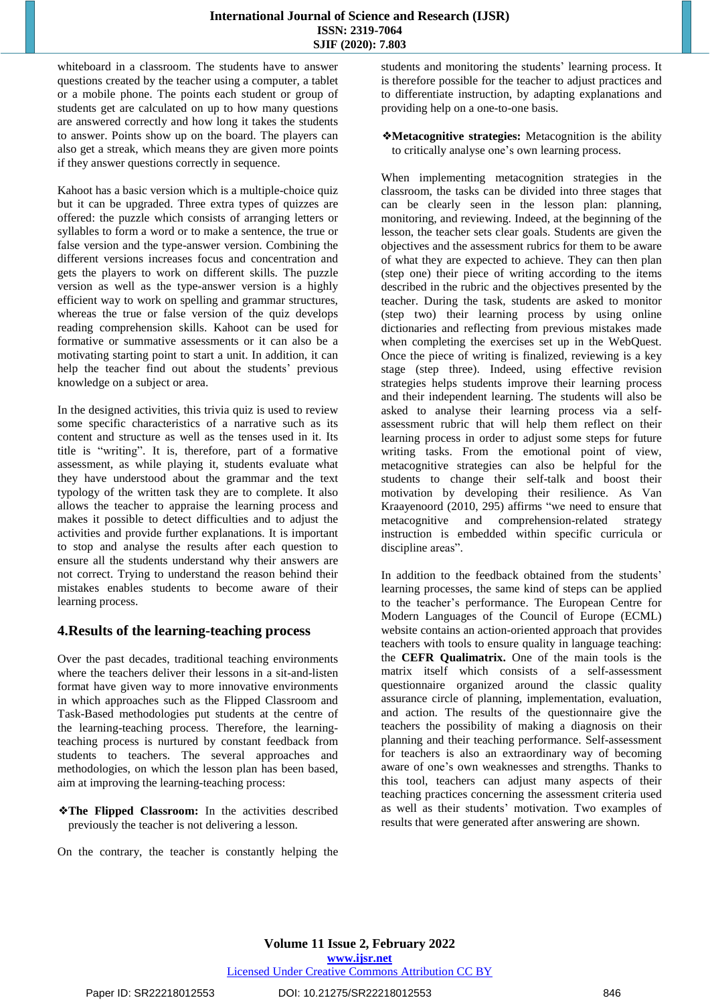whiteboard in a classroom. The students have to answer questions created by the teacher using a computer, a tablet or a mobile phone. The points each student or group of students get are calculated on up to how many questions are answered correctly and how long it takes the students to answer. Points show up on the board. The players can also get a streak, which means they are given more points if they answer questions correctly in sequence.

Kahoot has a basic version which is a multiple-choice quiz but it can be upgraded. Three extra types of quizzes are offered: the puzzle which consists of arranging letters or syllables to form a word or to make a sentence, the true or false version and the type-answer version. Combining the different versions increases focus and concentration and gets the players to work on different skills. The puzzle version as well as the type-answer version is a highly efficient way to work on spelling and grammar structures, whereas the true or false version of the quiz develops reading comprehension skills. Kahoot can be used for formative or summative assessments or it can also be a motivating starting point to start a unit. In addition, it can help the teacher find out about the students' previous knowledge on a subject or area.

In the designed activities, this trivia quiz is used to review some specific characteristics of a narrative such as its content and structure as well as the tenses used in it. Its title is "writing". It is, therefore, part of a formative assessment, as while playing it, students evaluate what they have understood about the grammar and the text typology of the written task they are to complete. It also allows the teacher to appraise the learning process and makes it possible to detect difficulties and to adjust the activities and provide further explanations. It is important to stop and analyse the results after each question to ensure all the students understand why their answers are not correct. Trying to understand the reason behind their mistakes enables students to become aware of their learning process.

# **4.Results of the learning-teaching process**

Over the past decades, traditional teaching environments where the teachers deliver their lessons in a sit-and-listen format have given way to more innovative environments in which approaches such as the Flipped Classroom and Task-Based methodologies put students at the centre of the learning-teaching process. Therefore, the learningteaching process is nurtured by constant feedback from students to teachers. The several approaches and methodologies, on which the lesson plan has been based, aim at improving the learning-teaching process:

❖**The Flipped Classroom:** In the activities described previously the teacher is not delivering a lesson.

On the contrary, the teacher is constantly helping the

students and monitoring the students' learning process. It is therefore possible for the teacher to adjust practices and to differentiate instruction, by adapting explanations and providing help on a one-to-one basis.

❖**Metacognitive strategies:** Metacognition is the ability to critically analyse one's own learning process.

When implementing metacognition strategies in the classroom, the tasks can be divided into three stages that can be clearly seen in the lesson plan: planning, monitoring, and reviewing. Indeed, at the beginning of the lesson, the teacher sets clear goals. Students are given the objectives and the assessment rubrics for them to be aware of what they are expected to achieve. They can then plan (step one) their piece of writing according to the items described in the rubric and the objectives presented by the teacher. During the task, students are asked to monitor (step two) their learning process by using online dictionaries and reflecting from previous mistakes made when completing the exercises set up in the WebQuest. Once the piece of writing is finalized, reviewing is a key stage (step three). Indeed, using effective revision strategies helps students improve their learning process and their independent learning. The students will also be asked to analyse their learning process via a selfassessment rubric that will help them reflect on their learning process in order to adjust some steps for future writing tasks. From the emotional point of view, metacognitive strategies can also be helpful for the students to change their self-talk and boost their motivation by developing their resilience. As Van Kraayenoord (2010, 295) affirms "we need to ensure that metacognitive and comprehension-related strategy instruction is embedded within specific curricula or discipline areas".

In addition to the feedback obtained from the students' learning processes, the same kind of steps can be applied to the teacher's performance. The European Centre for Modern Languages of the Council of Europe (ECML) website contains an action-oriented approach that provides teachers with tools to ensure quality in language teaching: the **CEFR Qualimatrix.** One of the main tools is the matrix itself which consists of a self-assessment questionnaire organized around the classic quality assurance circle of planning, implementation, evaluation, and action. The results of the questionnaire give the teachers the possibility of making a diagnosis on their planning and their teaching performance. Self-assessment for teachers is also an extraordinary way of becoming aware of one's own weaknesses and strengths. Thanks to this tool, teachers can adjust many aspects of their teaching practices concerning the assessment criteria used as well as their students' motivation. Two examples of results that were generated after answering are shown.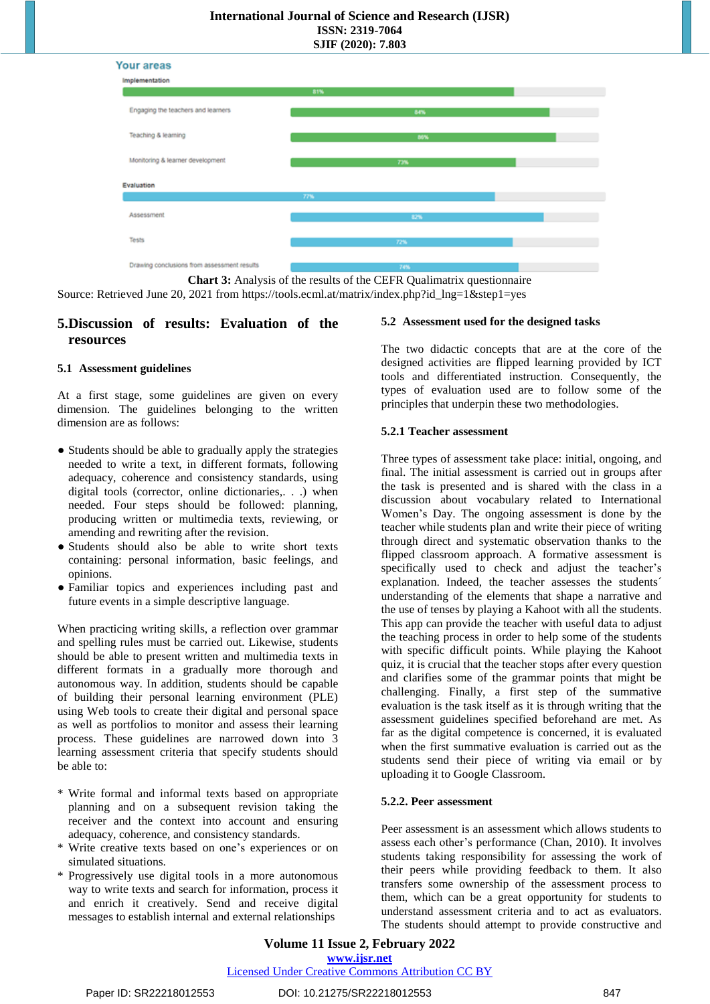#### **International Journal of Science and Research (IJSR) ISSN: 2319-7064**

**SJIF (2020): 7.803**



**Chart 3:** Analysis of the results of the CEFR Qualimatrix questionnaire Source: Retrieved June 20, 2021 from [https://tools.ecml.at/matrix/index.php?id\\_lng=1&step1=yes](https://tools.ecml.at/matrix/index.php?id_lng=1&step1=yes)

# **5.Discussion of results: Evaluation of the resources**

## **5.1 Assessment guidelines**

At a first stage, some guidelines are given on every dimension. The guidelines belonging to the written dimension are as follows:

- Students should be able to gradually apply the strategies needed to write a text, in different formats, following adequacy, coherence and consistency standards, using digital tools (corrector, online dictionaries,. . .) when needed. Four steps should be followed: planning, producing written or multimedia texts, reviewing, or amending and rewriting after the revision.
- Students should also be able to write short texts containing: personal information, basic feelings, and opinions.
- Familiar topics and experiences including past and future events in a simple descriptive language.

When practicing writing skills, a reflection over grammar and spelling rules must be carried out. Likewise, students should be able to present written and multimedia texts in different formats in a gradually more thorough and autonomous way. In addition, students should be capable of building their personal learning environment (PLE) using Web tools to create their digital and personal space as well as portfolios to monitor and assess their learning process. These guidelines are narrowed down into 3 learning assessment criteria that specify students should be able to:

- \* Write formal and informal texts based on appropriate planning and on a subsequent revision taking the receiver and the context into account and ensuring adequacy, coherence, and consistency standards.
- \* Write creative texts based on one's experiences or on simulated situations.
- \* Progressively use digital tools in a more autonomous way to write texts and search for information, process it and enrich it creatively. Send and receive digital messages to establish internal and external relationships

#### **5.2 Assessment used for the designed tasks**

The two didactic concepts that are at the core of the designed activities are flipped learning provided by ICT tools and differentiated instruction. Consequently, the types of evaluation used are to follow some of the principles that underpin these two methodologies.

#### **5.2.1 Teacher assessment**

Three types of assessment take place: initial, ongoing, and final. The initial assessment is carried out in groups after the task is presented and is shared with the class in a discussion about vocabulary related to International Women's Day. The ongoing assessment is done by the teacher while students plan and write their piece of writing through direct and systematic observation thanks to the flipped classroom approach. A formative assessment is specifically used to check and adjust the teacher's explanation. Indeed, the teacher assesses the students´ understanding of the elements that shape a narrative and the use of tenses by playing a Kahoot with all the students. This app can provide the teacher with useful data to adjust the teaching process in order to help some of the students with specific difficult points. While playing the Kahoot quiz, it is crucial that the teacher stops after every question and clarifies some of the grammar points that might be challenging. Finally, a first step of the summative evaluation is the task itself as it is through writing that the assessment guidelines specified beforehand are met. As far as the digital competence is concerned, it is evaluated when the first summative evaluation is carried out as the students send their piece of writing via email or by uploading it to Google Classroom.

#### **5.2.2. Peer assessment**

Peer assessment is an assessment which allows students to assess each other's performance (Chan, 2010). It involves students taking responsibility for assessing the work of their peers while providing feedback to them. It also transfers some ownership of the assessment process to them, which can be a great opportunity for students to understand assessment criteria and to act as evaluators. The students should attempt to provide constructive and

**Volume 11 Issue 2, February 2022 www.ijsr.net**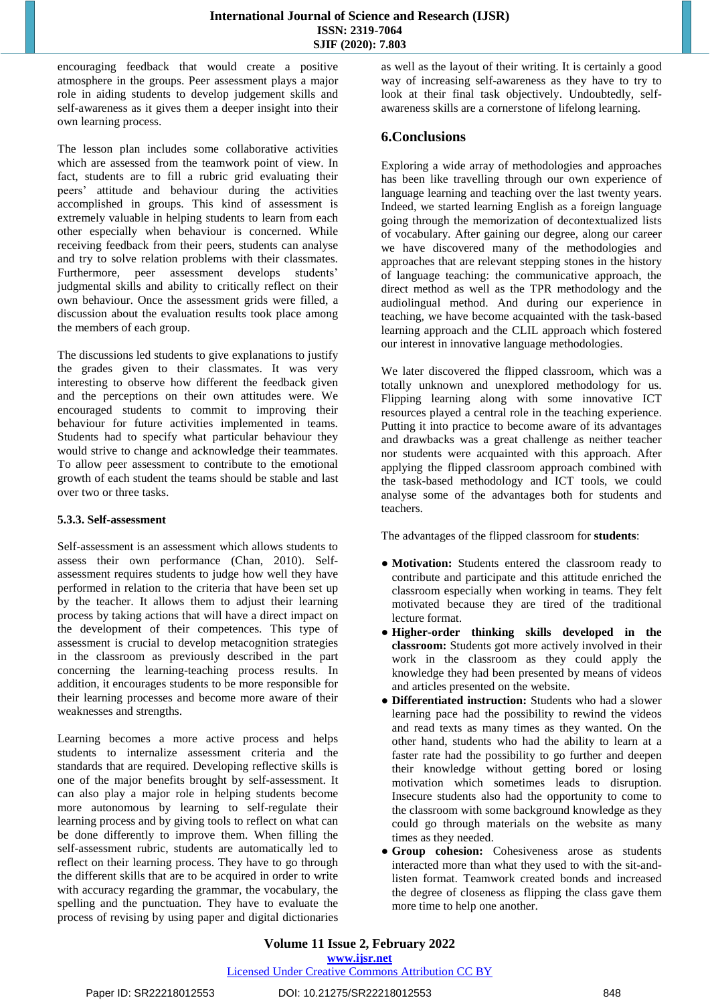encouraging feedback that would create a positive atmosphere in the groups. Peer assessment plays a major role in aiding students to develop judgement skills and self-awareness as it gives them a deeper insight into their own learning process.

The lesson plan includes some collaborative activities which are assessed from the teamwork point of view. In fact, students are to fill a rubric grid evaluating their peers' attitude and behaviour during the activities accomplished in groups. This kind of assessment is extremely valuable in helping students to learn from each other especially when behaviour is concerned. While receiving feedback from their peers, students can analyse and try to solve relation problems with their classmates. Furthermore, peer assessment develops students' judgmental skills and ability to critically reflect on their own behaviour. Once the assessment grids were filled, a discussion about the evaluation results took place among the members of each group.

The discussions led students to give explanations to justify the grades given to their classmates. It was very interesting to observe how different the feedback given and the perceptions on their own attitudes were. We encouraged students to commit to improving their behaviour for future activities implemented in teams. Students had to specify what particular behaviour they would strive to change and acknowledge their teammates. To allow peer assessment to contribute to the emotional growth of each student the teams should be stable and last over two or three tasks.

#### **5.3.3. Self-assessment**

Self-assessment is an assessment which allows students to assess their own performance (Chan, 2010). Selfassessment requires students to judge how well they have performed in relation to the criteria that have been set up by the teacher. It allows them to adjust their learning process by taking actions that will have a direct impact on the development of their competences. This type of assessment is crucial to develop metacognition strategies in the classroom as previously described in the part concerning the learning-teaching process results. In addition, it encourages students to be more responsible for their learning processes and become more aware of their weaknesses and strengths.

Learning becomes a more active process and helps students to internalize assessment criteria and the standards that are required. Developing reflective skills is one of the major benefits brought by self-assessment. It can also play a major role in helping students become more autonomous by learning to self-regulate their learning process and by giving tools to reflect on what can be done differently to improve them. When filling the self-assessment rubric, students are automatically led to reflect on their learning process. They have to go through the different skills that are to be acquired in order to write with accuracy regarding the grammar, the vocabulary, the spelling and the punctuation. They have to evaluate the process of revising by using paper and digital dictionaries as well as the layout of their writing. It is certainly a good way of increasing self-awareness as they have to try to look at their final task objectively. Undoubtedly, selfawareness skills are a cornerstone of lifelong learning.

# **6.Conclusions**

Exploring a wide array of methodologies and approaches has been like travelling through our own experience of language learning and teaching over the last twenty years. Indeed, we started learning English as a foreign language going through the memorization of decontextualized lists of vocabulary. After gaining our degree, along our career we have discovered many of the methodologies and approaches that are relevant stepping stones in the history of language teaching: the communicative approach, the direct method as well as the TPR methodology and the audiolingual method. And during our experience in teaching, we have become acquainted with the task-based learning approach and the CLIL approach which fostered our interest in innovative language methodologies.

We later discovered the flipped classroom, which was a totally unknown and unexplored methodology for us. Flipping learning along with some innovative ICT resources played a central role in the teaching experience. Putting it into practice to become aware of its advantages and drawbacks was a great challenge as neither teacher nor students were acquainted with this approach. After applying the flipped classroom approach combined with the task-based methodology and ICT tools, we could analyse some of the advantages both for students and teachers.

The advantages of the flipped classroom for **students**:

- **Motivation:** Students entered the classroom ready to contribute and participate and this attitude enriched the classroom especially when working in teams. They felt motivated because they are tired of the traditional lecture format.
- **Higher-order thinking skills developed in the classroom:** Students got more actively involved in their work in the classroom as they could apply the knowledge they had been presented by means of videos and articles presented on the website.
- **Differentiated instruction:** Students who had a slower learning pace had the possibility to rewind the videos and read texts as many times as they wanted. On the other hand, students who had the ability to learn at a faster rate had the possibility to go further and deepen their knowledge without getting bored or losing motivation which sometimes leads to disruption. Insecure students also had the opportunity to come to the classroom with some background knowledge as they could go through materials on the website as many times as they needed.
- **Group cohesion:** Cohesiveness arose as students interacted more than what they used to with the sit-andlisten format. Teamwork created bonds and increased the degree of closeness as flipping the class gave them more time to help one another.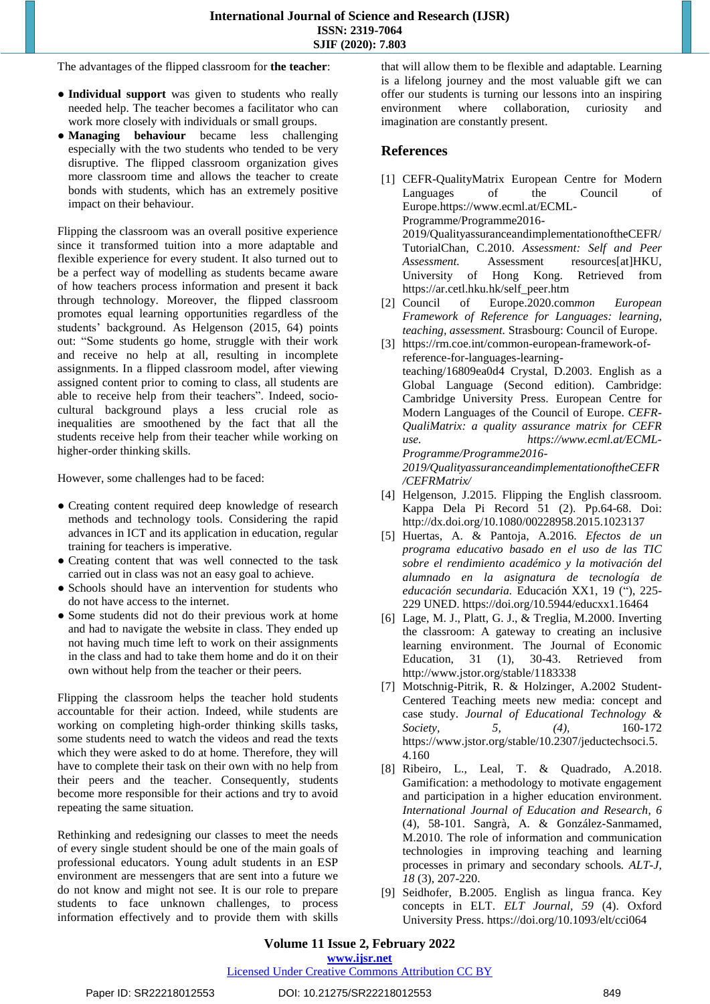The advantages of the flipped classroom for **the teacher**:

- **Individual support** was given to students who really needed help. The teacher becomes a facilitator who can work more closely with individuals or small groups.
- **Managing behaviour** became less challenging especially with the two students who tended to be very disruptive. The flipped classroom organization gives more classroom time and allows the teacher to create bonds with students, which has an extremely positive impact on their behaviour.

Flipping the classroom was an overall positive experience since it transformed tuition into a more adaptable and flexible experience for every student. It also turned out to be a perfect way of modelling as students became aware of how teachers process information and present it back through technology. Moreover, the flipped classroom promotes equal learning opportunities regardless of the students' background. As Helgenson (2015, 64) points out: "Some students go home, struggle with their work and receive no help at all, resulting in incomplete assignments. In a flipped classroom model, after viewing assigned content prior to coming to class, all students are able to receive help from their teachers". Indeed, sociocultural background plays a less crucial role as inequalities are smoothened by the fact that all the students receive help from their teacher while working on higher-order thinking skills.

However, some challenges had to be faced:

- Creating content required deep knowledge of research methods and technology tools. Considering the rapid advances in ICT and its application in education, regular training for teachers is imperative.
- Creating content that was well connected to the task carried out in class was not an easy goal to achieve.
- Schools should have an intervention for students who do not have access to the internet.
- Some students did not do their previous work at home and had to navigate the website in class. They ended up not having much time left to work on their assignments in the class and had to take them home and do it on their own without help from the teacher or their peers.

Flipping the classroom helps the teacher hold students accountable for their action. Indeed, while students are working on completing high-order thinking skills tasks, some students need to watch the videos and read the texts which they were asked to do at home. Therefore, they will have to complete their task on their own with no help from their peers and the teacher. Consequently, students become more responsible for their actions and try to avoid repeating the same situation.

Rethinking and redesigning our classes to meet the needs of every single student should be one of the main goals of professional educators. Young adult students in an ESP environment are messengers that are sent into a future we do not know and might not see. It is our role to prepare students to face unknown challenges, to process information effectively and to provide them with skills that will allow them to be flexible and adaptable. Learning is a lifelong journey and the most valuable gift we can offer our students is turning our lessons into an inspiring environment where collaboration, curiosity and imagination are constantly present.

# **References**

- [1] CEFR-QualityMatrix European Centre for Modern Languages of the Council of Europe[.https://www.ecml.at/ECML-](https://www.ecml.at/ECML-Programme/Programme2016-)[Programme/Programme2016-](https://www.ecml.at/ECML-Programme/Programme2016-) [2019/QualityassuranceandimplementationoftheCEFR/](https://www.ecml.at/ECML-Programme/Programme2016-) TutorialChan, C.2010. *Assessment: Self and Peer* Assessment resources[at]HKU, University of Hong Kong. Retrieved from [https://ar.cetl.hku.hk/self\\_peer.htm](https://ar.cetl.hku.hk/self_peer.htm)
- [2] Council of Europe.2020.com*mon European Framework of Reference for Languages: learning, teaching, assessment.* Strasbourg: Council of Europe.
- [3] https://rm.coe.int/common-european-framework-ofreference-for-languages-learningteaching/16809ea0d4 Crystal, D.2003. English as a Global Language (Second edition). Cambridge: Cambridge University Press. European Centre for Modern Languages of the Council of Europe. *CEFR-QualiMatrix: a quality assurance matrix for CEFR use. [https://www.ecml.at/ECML-](https://www.ecml.at/ECML-Programme/Programme2016-)[Programme/Programme2016-](https://www.ecml.at/ECML-Programme/Programme2016-) [2019/QualityassuranceandimplementationoftheCEFR](https://www.ecml.at/ECML-Programme/Programme2016-) /CEFRMatrix/*
- [4] Helgenson, J.2015. Flipping the English classroom. Kappa Dela Pi Record 51 (2). Pp.64-68. Doi: <http://dx.doi.org/10.1080/00228958.2015.1023137>
- [5] Huertas, A. & Pantoja, A.2016. *Efectos de un programa educativo basado en el uso de las TIC sobre el rendimiento académico y la motivación del alumnado en la asignatura de tecnología de educación secundaria.* Educación XX1, 19 ("), 225- 229 UNED.<https://doi.org/10.5944/educxx1.16464>
- [6] Lage, M. J., Platt, G. J., & Treglia, M.2000. Inverting the classroom: A gateway to creating an inclusive learning environment. The Journal of Economic Education, 31 (1), 30-43. Retrieved from <http://www.jstor.org/stable/1183338>
- [7] Motschnig-Pitrik, R. & Holzinger, A.2002 Student-Centered Teaching meets new media: concept and case study. *Journal of Educational Technology & Society, 5, (4),* 160-172 [https://www.jstor.org/stable/10.2307/j](https://www.jstor.org/stable/10.2307/)eductechsoci.5. 4.160
- [8] Ribeiro, L., Leal, T. & Quadrado, A.2018. Gamification: a methodology to motivate engagement and participation in a higher education environment. *International Journal of Education and Research*, *6* (4), 58-101. Sangrà, A. & González-Sanmamed, M.2010. The role of information and communication technologies in improving teaching and learning processes in primary and secondary schools*. ALT-J, 18* (3), 207-220.
- [9] Seidhofer, B.2005. English as lingua franca. Key concepts in ELT. *ELT Journal, 59* (4). Oxford University Press[. https://doi.org/10.1093/elt/cci064](https://doi.org/10.1093/elt/cci064)

## **Volume 11 Issue 2, February 2022 www.ijsr.net**